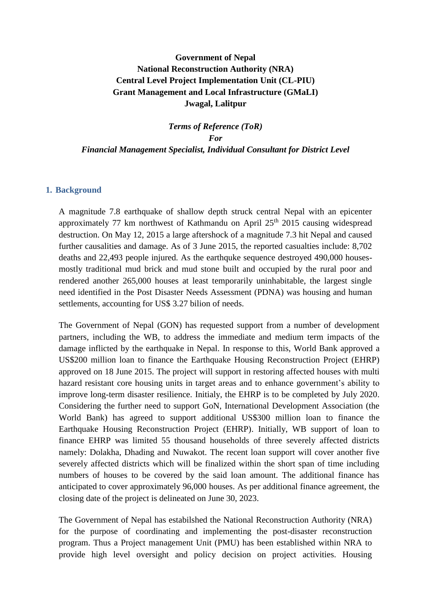# **Government of Nepal National Reconstruction Authority (NRA) Central Level Project Implementation Unit (CL-PIU) Grant Management and Local Infrastructure (GMaLI) Jwagal, Lalitpur**

*Terms of Reference (ToR) For Financial Management Specialist, Individual Consultant for District Level*

### **1. Background**

A magnitude 7.8 earthquake of shallow depth struck central Nepal with an epicenter approximately 77 km northwest of Kathmandu on April  $25<sup>th</sup>$  2015 causing widespread destruction. On May 12, 2015 a large aftershock of a magnitude 7.3 hit Nepal and caused further causalities and damage. As of 3 June 2015, the reported casualties include: 8,702 deaths and 22,493 people injured. As the earthquke sequence destroyed 490,000 housesmostly traditional mud brick and mud stone built and occupied by the rural poor and rendered another 265,000 houses at least temporarily uninhabitable, the largest single need identified in the Post Disaster Needs Assessment (PDNA) was housing and human settlements, accounting for US\$ 3.27 bilion of needs.

The Government of Nepal (GON) has requested support from a number of development partners, including the WB, to address the immediate and medium term impacts of the damage inflicted by the earthquake in Nepal. In response to this, World Bank approved a US\$200 million loan to finance the Earthquake Housing Reconstruction Project (EHRP) approved on 18 June 2015. The project will support in restoring affected houses with multi hazard resistant core housing units in target areas and to enhance government's ability to improve long-term disaster resilience. Initialy, the EHRP is to be completed by July 2020. Considering the further need to support GoN, International Development Association (the World Bank) has agreed to support additional US\$300 million loan to finance the Earthquake Housing Reconstruction Project (EHRP). Initially, WB support of loan to finance EHRP was limited 55 thousand households of three severely affected districts namely: Dolakha, Dhading and Nuwakot. The recent loan support will cover another five severely affected districts which will be finalized within the short span of time including numbers of houses to be covered by the said loan amount. The additional finance has anticipated to cover approximately 96,000 houses. As per additional finance agreement, the closing date of the project is delineated on June 30, 2023.

The Government of Nepal has estabilshed the National Reconstruction Authority (NRA) for the purpose of coordinating and implementing the post-disaster reconstruction program. Thus a Project management Unit (PMU) has been established within NRA to provide high level oversight and policy decision on project activities. Housing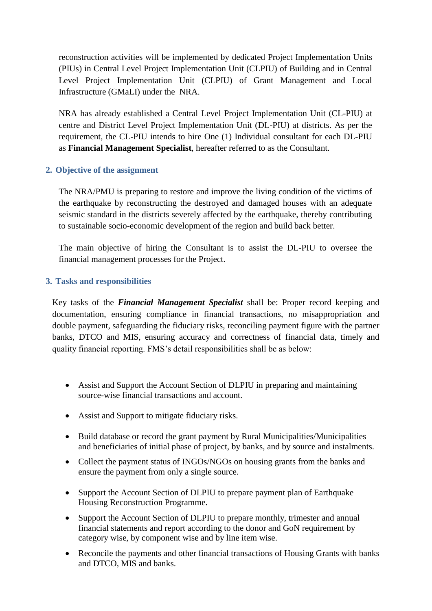reconstruction activities will be implemented by dedicated Project Implementation Units (PIUs) in Central Level Project Implementation Unit (CLPIU) of Building and in Central Level Project Implementation Unit (CLPIU) of Grant Management and Local Infrastructure (GMaLI) under the NRA.

NRA has already established a Central Level Project Implementation Unit (CL-PIU) at centre and District Level Project Implementation Unit (DL-PIU) at districts. As per the requirement, the CL-PIU intends to hire One (1) Individual consultant for each DL-PIU as **Financial Management Specialist**, hereafter referred to as the Consultant.

# **2. Objective of the assignment**

The NRA/PMU is preparing to restore and improve the living condition of the victims of the earthquake by reconstructing the destroyed and damaged houses with an adequate seismic standard in the districts severely affected by the earthquake, thereby contributing to sustainable socio-economic development of the region and build back better.

The main objective of hiring the Consultant is to assist the DL-PIU to oversee the financial management processes for the Project.

# **3. Tasks and responsibilities**

Key tasks of the *Financial Management Specialist* shall be: Proper record keeping and documentation, ensuring compliance in financial transactions, no misappropriation and double payment, safeguarding the fiduciary risks, reconciling payment figure with the partner banks, DTCO and MIS, ensuring accuracy and correctness of financial data, timely and quality financial reporting. FMS's detail responsibilities shall be as below:

- Assist and Support the Account Section of DLPIU in preparing and maintaining source-wise financial transactions and account.
- Assist and Support to mitigate fiduciary risks.
- Build database or record the grant payment by Rural Municipalities/Municipalities and beneficiaries of initial phase of project, by banks, and by source and instalments.
- Collect the payment status of INGOs/NGOs on housing grants from the banks and ensure the payment from only a single source.
- Support the Account Section of DLPIU to prepare payment plan of Earthquake Housing Reconstruction Programme.
- Support the Account Section of DLPIU to prepare monthly, trimester and annual financial statements and report according to the donor and GoN requirement by category wise, by component wise and by line item wise.
- Reconcile the payments and other financial transactions of Housing Grants with banks and DTCO, MIS and banks.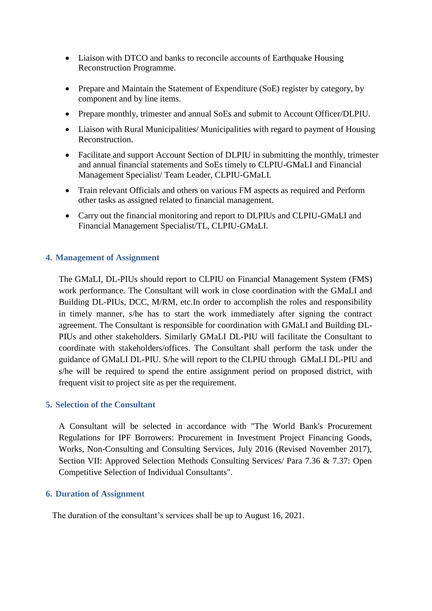- Liaison with DTCO and banks to reconcile accounts of Earthquake Housing Reconstruction Programme.
- Prepare and Maintain the Statement of Expenditure (SoE) register by category, by component and by line items.
- Prepare monthly, trimester and annual SoEs and submit to Account Officer/DLPIU.
- Liaison with Rural Municipalities/ Municipalities with regard to payment of Housing Reconstruction.
- Facilitate and support Account Section of DLPIU in submitting the monthly, trimester and annual financial statements and SoEs timely to CLPIU-GMaLI and Financial Management Specialist/ Team Leader, CLPIU-GMaLI.
- Train relevant Officials and others on various FM aspects as required and Perform other tasks as assigned related to financial management.
- Carry out the financial monitoring and report to DLPIUs and CLPIU-GMaLI and Financial Management Specialist/TL, CLPIU-GMaLI.

### **4. Management of Assignment**

The GMaLI, DL-PIUs should report to CLPIU on Financial Management System (FMS) work performance. The Consultant will work in close coordination with the GMaLI and Building DL-PIUs, DCC, M/RM, etc.In order to accomplish the roles and responsibility in timely manner, s/he has to start the work immediately after signing the contract agreement. The Consultant is responsible for coordination with GMaLI and Building DL-PIUs and other stakeholders. Similarly GMaLI DL-PIU will facilitate the Consultant to coordinate with stakeholders/offices. The Consultant shall perform the task under the guidance of GMaLI DL-PIU. S/he will report to the CLPIU through GMaLI DL-PIU and s/he will be required to spend the entire assignment period on proposed district, with frequent visit to project site as per the requirement.

#### **5. Selection of the Consultant**

A Consultant will be selected in accordance with "The World Bank's Procurement Regulations for IPF Borrowers: Procurement in Investment Project Financing Goods, Works, Non-Consulting and Consulting Services, July 2016 (Revised November 2017), Section VII: Approved Selection Methods Consulting Services/ Para 7.36 & 7.37: Open Competitive Selection of Individual Consultants".

#### **6. Duration of Assignment**

The duration of the consultant's services shall be up to August 16, 2021.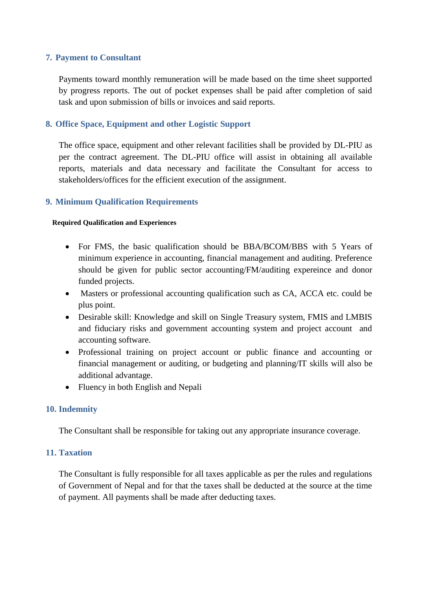# **7. Payment to Consultant**

Payments toward monthly remuneration will be made based on the time sheet supported by progress reports. The out of pocket expenses shall be paid after completion of said task and upon submission of bills or invoices and said reports.

### **8. Office Space, Equipment and other Logistic Support**

The office space, equipment and other relevant facilities shall be provided by DL-PIU as per the contract agreement. The DL-PIU office will assist in obtaining all available reports, materials and data necessary and facilitate the Consultant for access to stakeholders/offices for the efficient execution of the assignment.

### **9. Minimum Qualification Requirements**

#### **Required Qualification and Experiences**

- For FMS, the basic qualification should be BBA/BCOM/BBS with 5 Years of minimum experience in accounting, financial management and auditing. Preference should be given for public sector accounting/FM/auditing expereince and donor funded projects.
- Masters or professional accounting qualification such as CA, ACCA etc. could be plus point.
- Desirable skill: Knowledge and skill on Single Treasury system, FMIS and LMBIS and fiduciary risks and government accounting system and project account and accounting software.
- Professional training on project account or public finance and accounting or financial management or auditing, or budgeting and planning/IT skills will also be additional advantage.
- Fluency in both English and Nepali

# **10. Indemnity**

The Consultant shall be responsible for taking out any appropriate insurance coverage.

#### **11. Taxation**

The Consultant is fully responsible for all taxes applicable as per the rules and regulations of Government of Nepal and for that the taxes shall be deducted at the source at the time of payment. All payments shall be made after deducting taxes.